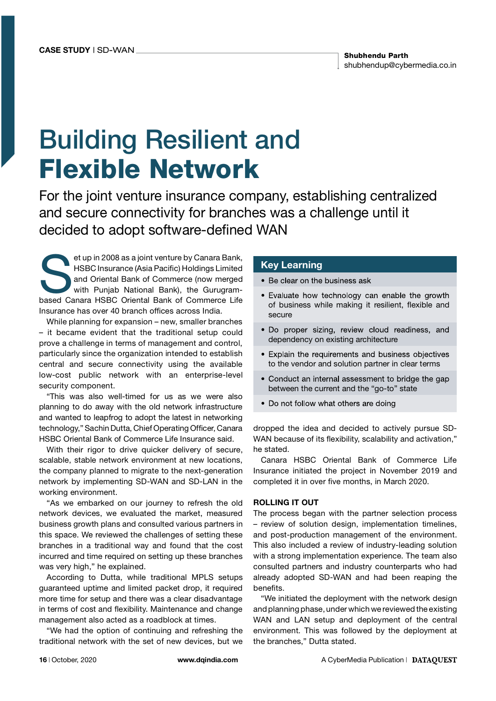# Building Resilient and Flexible Network

For the joint venture insurance company, establishing centralized and secure connectivity for branches was a challenge until it decided to adopt software-defined WAN

et up in 2008 as a joint venture by Canara Bank,<br>HSBC Insurance (Asia Pacific) Holdings Limited<br>and Oriental Bank of Commerce (now merged<br>with Punjab National Bank), the Gurugram-<br>hased Canara HSBC Oriental Bank of Commerc HSBC Insurance (Asia Pacific) Holdings Limited and Oriental Bank of Commerce (now merged with Punjab National Bank), the Gurugrambased Canara HSBC Oriental Bank of Commerce Life Insurance has over 40 branch offices across India.

While planning for expansion – new, smaller branches – it became evident that the traditional setup could prove a challenge in terms of management and control, particularly since the organization intended to establish central and secure connectivity using the available low-cost public network with an enterprise-level security component.

"This was also well-timed for us as we were also planning to do away with the old network infrastructure and wanted to leapfrog to adopt the latest in networking technology," Sachin Dutta, Chief Operating Officer, Canara HSBC Oriental Bank of Commerce Life Insurance said.

With their rigor to drive quicker delivery of secure, scalable, stable network environment at new locations, the company planned to migrate to the next-generation network by implementing SD-WAN and SD-LAN in the working environment.

"As we embarked on our journey to refresh the old network devices, we evaluated the market, measured business growth plans and consulted various partners in this space. We reviewed the challenges of setting these branches in a traditional way and found that the cost incurred and time required on setting up these branches was very high," he explained.

According to Dutta, while traditional MPLS setups guaranteed uptime and limited packet drop, it required more time for setup and there was a clear disadvantage in terms of cost and flexibility. Maintenance and change management also acted as a roadblock at times.

"We had the option of continuing and refreshing the traditional network with the set of new devices, but we

### Key Learning

• Be clear on the business ask

- Evaluate how technology can enable the growth of business while making it resilient, flexible and secure
- . Do proper sizing, review cloud readiness, and dependency on existing architecture
- Explain the requirements and business objectives to the vendor and solution partner in clear terms
- Conduct an internal assessment to bridge the gap between the current and the "go-to" state
- Do not follow what others are doing

dropped the idea and decided to actively pursue SD-WAN because of its flexibility, scalability and activation," he stated.

Canara HSBC Oriental Bank of Commerce Life Insurance initiated the project in November 2019 and completed it in over five months, in March 2020.

#### ROLLING IT OUT

The process began with the partner selection process – review of solution design, implementation timelines, and post-production management of the environment. This also included a review of industry-leading solution with a strong implementation experience. The team also consulted partners and industry counterparts who had already adopted SD-WAN and had been reaping the benefits.

"We initiated the deployment with the network design and planning phase, under which we reviewed the existing WAN and LAN setup and deployment of the central environment. This was followed by the deployment at the branches," Dutta stated.